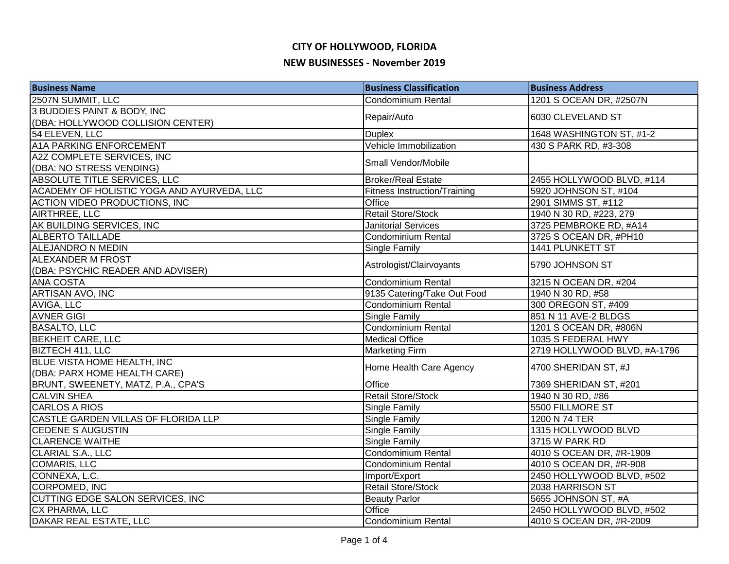| <b>Business Name</b>                                               | <b>Business Classification</b>      | <b>Business Address</b>      |
|--------------------------------------------------------------------|-------------------------------------|------------------------------|
| 2507N SUMMIT, LLC                                                  | <b>Condominium Rental</b>           | 1201 S OCEAN DR, #2507N      |
| 3 BUDDIES PAINT & BODY, INC                                        |                                     |                              |
| (DBA: HOLLYWOOD COLLISION CENTER)                                  | Repair/Auto                         | 6030 CLEVELAND ST            |
| 54 ELEVEN, LLC                                                     | <b>Duplex</b>                       | 1648 WASHINGTON ST, #1-2     |
| <b>A1A PARKING ENFORCEMENT</b>                                     | Vehicle Immobilization              | 430 S PARK RD, #3-308        |
| A2Z COMPLETE SERVICES, INC                                         | Small Vendor/Mobile                 |                              |
| (DBA: NO STRESS VENDING)                                           |                                     |                              |
| <b>ABSOLUTE TITLE SERVICES, LLC</b>                                | <b>Broker/Real Estate</b>           | 2455 HOLLYWOOD BLVD, #114    |
| ACADEMY OF HOLISTIC YOGA AND AYURVEDA, LLC                         | <b>Fitness Instruction/Training</b> | 5920 JOHNSON ST, #104        |
| <b>ACTION VIDEO PRODUCTIONS, INC</b>                               | Office                              | 2901 SIMMS ST, #112          |
| AIRTHREE, LLC                                                      | <b>Retail Store/Stock</b>           | 1940 N 30 RD, #223, 279      |
| AK BUILDING SERVICES, INC                                          | <b>Janitorial Services</b>          | 3725 PEMBROKE RD, #A14       |
| <b>ALBERTO TAILLADE</b>                                            | Condominium Rental                  | 3725 S OCEAN DR, #PH10       |
| <b>ALEJANDRO N MEDIN</b>                                           | <b>Single Family</b>                | 1441 PLUNKETT ST             |
| <b>ALEXANDER M FROST</b>                                           | Astrologist/Clairvoyants            | 5790 JOHNSON ST              |
| (DBA: PSYCHIC READER AND ADVISER)                                  |                                     |                              |
| <b>ANA COSTA</b>                                                   | Condominium Rental                  | 3215 N OCEAN DR, #204        |
| ARTISAN AVO, INC                                                   | 9135 Catering/Take Out Food         | 1940 N 30 RD, #58            |
| AVIGA, LLC                                                         | Condominium Rental                  | 300 OREGON ST, #409          |
| <b>AVNER GIGI</b>                                                  | <b>Single Family</b>                | 851 N 11 AVE-2 BLDGS         |
| <b>BASALTO, LLC</b>                                                | Condominium Rental                  | 1201 S OCEAN DR, #806N       |
| <b>BEKHEIT CARE, LLC</b>                                           | <b>Medical Office</b>               | 1035 S FEDERAL HWY           |
| BIZTECH 411, LLC                                                   | <b>Marketing Firm</b>               | 2719 HOLLYWOOD BLVD, #A-1796 |
| <b>BLUE VISTA HOME HEALTH, INC</b><br>(DBA: PARX HOME HEALTH CARE) | Home Health Care Agency             | 4700 SHERIDAN ST, #J         |
| BRUNT, SWEENETY, MATZ, P.A., CPA'S                                 | Office                              | 7369 SHERIDAN ST, #201       |
| <b>CALVIN SHEA</b>                                                 | <b>Retail Store/Stock</b>           | 1940 N 30 RD, #86            |
| <b>CARLOS A RIOS</b>                                               | <b>Single Family</b>                | 5500 FILLMORE ST             |
| CASTLE GARDEN VILLAS OF FLORIDA LLP                                | Single Family                       | 1200 N 74 TER                |
| <b>CEDENE S AUGUSTIN</b>                                           | Single Family                       | 1315 HOLLYWOOD BLVD          |
| <b>CLARENCE WAITHE</b>                                             | Single Family                       | 3715 W PARK RD               |
| <b>CLARIAL S.A., LLC</b>                                           | Condominium Rental                  | 4010 S OCEAN DR, #R-1909     |
| <b>COMARIS, LLC</b>                                                | Condominium Rental                  | 4010 S OCEAN DR, #R-908      |
| CONNEXA, L.C.                                                      | Import/Export                       | 2450 HOLLYWOOD BLVD, #502    |
| CORPOMED, INC                                                      | <b>Retail Store/Stock</b>           | 2038 HARRISON ST             |
| CUTTING EDGE SALON SERVICES, INC                                   | <b>Beauty Parlor</b>                | 5655 JOHNSON ST, #A          |
| CX PHARMA, LLC                                                     | Office                              | 2450 HOLLYWOOD BLVD, #502    |
| DAKAR REAL ESTATE, LLC                                             | Condominium Rental                  | 4010 S OCEAN DR, #R-2009     |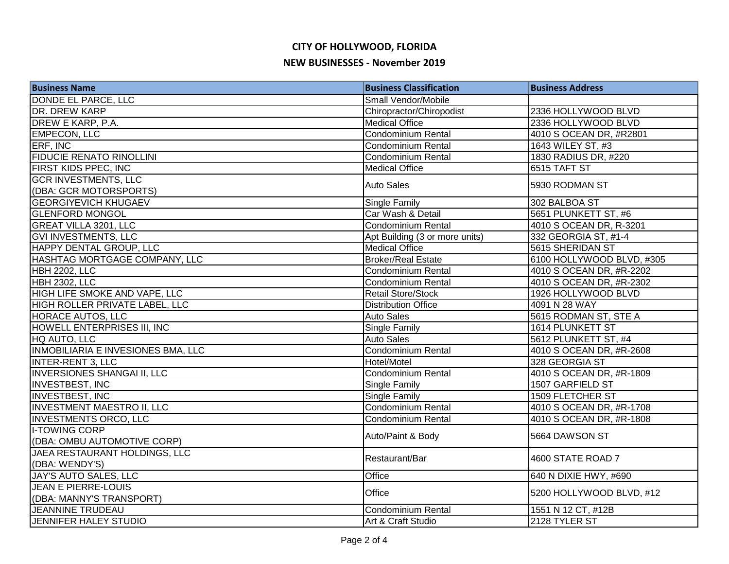| <b>Business Name</b>                      | <b>Business Classification</b> | <b>Business Address</b>   |
|-------------------------------------------|--------------------------------|---------------------------|
| DONDE EL PARCE, LLC                       | Small Vendor/Mobile            |                           |
| DR. DREW KARP                             | Chiropractor/Chiropodist       | 2336 HOLLYWOOD BLVD       |
| DREW E KARP, P.A.                         | <b>Medical Office</b>          | 2336 HOLLYWOOD BLVD       |
| <b>EMPECON, LLC</b>                       | <b>Condominium Rental</b>      | 4010 S OCEAN DR, #R2801   |
| ERF, INC                                  | <b>Condominium Rental</b>      | 1643 WILEY ST, #3         |
| <b>FIDUCIE RENATO RINOLLINI</b>           | <b>Condominium Rental</b>      | 1830 RADIUS DR, #220      |
| FIRST KIDS PPEC, INC                      | <b>Medical Office</b>          | 6515 TAFT ST              |
| <b>GCR INVESTMENTS, LLC</b>               | <b>Auto Sales</b>              |                           |
| (DBA: GCR MOTORSPORTS)                    |                                | 5930 RODMAN ST            |
| <b>GEORGIYEVICH KHUGAEV</b>               | <b>Single Family</b>           | 302 BALBOA ST             |
| <b>GLENFORD MONGOL</b>                    | Car Wash & Detail              | 5651 PLUNKETT ST, #6      |
| <b>GREAT VILLA 3201, LLC</b>              | Condominium Rental             | 4010 S OCEAN DR, R-3201   |
| <b>GVI INVESTMENTS, LLC</b>               | Apt Building (3 or more units) | 332 GEORGIA ST, #1-4      |
| HAPPY DENTAL GROUP, LLC                   | <b>Medical Office</b>          | 5615 SHERIDAN ST          |
| HASHTAG MORTGAGE COMPANY, LLC             | <b>Broker/Real Estate</b>      | 6100 HOLLYWOOD BLVD, #305 |
| HBH 2202, LLC                             | <b>Condominium Rental</b>      | 4010 S OCEAN DR, #R-2202  |
| <b>HBH 2302, LLC</b>                      | <b>Condominium Rental</b>      | 4010 S OCEAN DR, #R-2302  |
| HIGH LIFE SMOKE AND VAPE, LLC             | <b>Retail Store/Stock</b>      | 1926 HOLLYWOOD BLVD       |
| HIGH ROLLER PRIVATE LABEL, LLC            | <b>Distribution Office</b>     | 4091 N 28 WAY             |
| HORACE AUTOS, LLC                         | <b>Auto Sales</b>              | 5615 RODMAN ST, STE A     |
| HOWELL ENTERPRISES III, INC               | <b>Single Family</b>           | 1614 PLUNKETT ST          |
| HQ AUTO, LLC                              | <b>Auto Sales</b>              | 5612 PLUNKETT ST, #4      |
| <b>INMOBILIARIA E INVESIONES BMA, LLC</b> | Condominium Rental             | 4010 S OCEAN DR, #R-2608  |
| <b>INTER-RENT 3, LLC</b>                  | Hotel/Motel                    | 328 GEORGIA ST            |
| <b>INVERSIONES SHANGAI II, LLC</b>        | Condominium Rental             | 4010 S OCEAN DR, #R-1809  |
| INVESTBEST, INC                           | Single Family                  | 1507 GARFIELD ST          |
| <b>INVESTBEST, INC</b>                    | <b>Single Family</b>           | 1509 FLETCHER ST          |
| <b>INVESTMENT MAESTRO II, LLC</b>         | Condominium Rental             | 4010 S OCEAN DR, #R-1708  |
| <b>INVESTMENTS ORCO, LLC</b>              | Condominium Rental             | 4010 S OCEAN DR, #R-1808  |
| <b>I-TOWING CORP</b>                      |                                |                           |
| (DBA: OMBU AUTOMOTIVE CORP)               | Auto/Paint & Body              | 5664 DAWSON ST            |
| JAEA RESTAURANT HOLDINGS, LLC             | Restaurant/Bar                 | 4600 STATE ROAD 7         |
| (DBA: WENDY'S)                            |                                |                           |
| JAY'S AUTO SALES, LLC                     | Office                         | 640 N DIXIE HWY, #690     |
| <b>JEAN E PIERRE-LOUIS</b>                | Office                         | 5200 HOLLYWOOD BLVD, #12  |
| (DBA: MANNY'S TRANSPORT)                  |                                |                           |
| JEANNINE TRUDEAU                          | <b>Condominium Rental</b>      | 1551 N 12 CT, #12B        |
| <b>JENNIFER HALEY STUDIO</b>              | Art & Craft Studio             | 2128 TYLER ST             |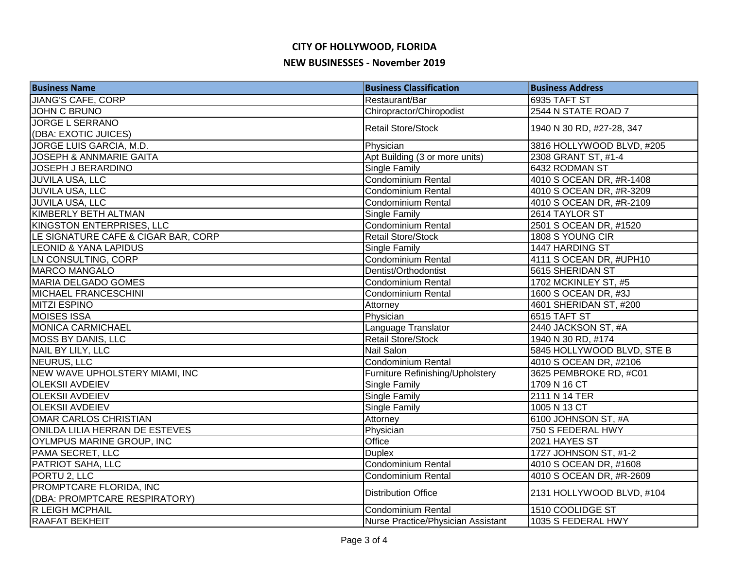| <b>Business Name</b>                | <b>Business Classification</b>     | <b>Business Address</b>    |
|-------------------------------------|------------------------------------|----------------------------|
| <b>JIANG'S CAFE, CORP</b>           | Restaurant/Bar                     | 6935 TAFT ST               |
| <b>JOHN C BRUNO</b>                 | Chiropractor/Chiropodist           | 2544 N STATE ROAD 7        |
| <b>JORGE L SERRANO</b>              | <b>Retail Store/Stock</b>          | 1940 N 30 RD, #27-28, 347  |
| (DBA: EXOTIC JUICES)                |                                    |                            |
| JORGE LUIS GARCIA, M.D.             | Physician                          | 3816 HOLLYWOOD BLVD, #205  |
| <b>JOSEPH &amp; ANNMARIE GAITA</b>  | Apt Building (3 or more units)     | 2308 GRANT ST, #1-4        |
| <b>JOSEPH J BERARDINO</b>           | <b>Single Family</b>               | 6432 RODMAN ST             |
| <b>JUVILA USA, LLC</b>              | Condominium Rental                 | 4010 S OCEAN DR, #R-1408   |
| <b>JUVILA USA, LLC</b>              | <b>Condominium Rental</b>          | 4010 S OCEAN DR, #R-3209   |
| <b>JUVILA USA, LLC</b>              | <b>Condominium Rental</b>          | 4010 S OCEAN DR, #R-2109   |
| KIMBERLY BETH ALTMAN                | <b>Single Family</b>               | 2614 TAYLOR ST             |
| KINGSTON ENTERPRISES, LLC           | Condominium Rental                 | 2501 S OCEAN DR, #1520     |
| LE SIGNATURE CAFE & CIGAR BAR, CORP | <b>Retail Store/Stock</b>          | 1808 S YOUNG CIR           |
| <b>LEONID &amp; YANA LAPIDUS</b>    | Single Family                      | 1447 HARDING ST            |
| LN CONSULTING, CORP                 | Condominium Rental                 | 4111 S OCEAN DR, #UPH10    |
| MARCO MANGALO                       | Dentist/Orthodontist               | 5615 SHERIDAN ST           |
| MARIA DELGADO GOMES                 | Condominium Rental                 | 1702 MCKINLEY ST, #5       |
| MICHAEL FRANCESCHINI                | Condominium Rental                 | 1600 S OCEAN DR, #3J       |
| MITZI ESPINO                        | Attorney                           | 4601 SHERIDAN ST, #200     |
| <b>MOISES ISSA</b>                  | Physician                          | 6515 TAFT ST               |
| <b>MONICA CARMICHAEL</b>            | Language Translator                | 2440 JACKSON ST, #A        |
| MOSS BY DANIS, LLC                  | <b>Retail Store/Stock</b>          | 1940 N 30 RD, #174         |
| NAIL BY LILY, LLC                   | <b>Nail Salon</b>                  | 5845 HOLLYWOOD BLVD, STE B |
| NEURUS, LLC                         | Condominium Rental                 | 4010 S OCEAN DR, #2106     |
| NEW WAVE UPHOLSTERY MIAMI, INC      | Furniture Refinishing/Upholstery   | 3625 PEMBROKE RD, #C01     |
| <b>OLEKSII AVDEIEV</b>              | Single Family                      | 1709 N 16 CT               |
| <b>OLEKSII AVDEIEV</b>              | Single Family                      | 2111 N 14 TER              |
| <b>OLEKSII AVDEIEV</b>              | <b>Single Family</b>               | 1005 N 13 CT               |
| <b>OMAR CARLOS CHRISTIAN</b>        | Attorney                           | 6100 JOHNSON ST, #A        |
| ONILDA LILIA HERRAN DE ESTEVES      | Physician                          | 750 S FEDERAL HWY          |
| <b>OYLMPUS MARINE GROUP, INC</b>    | Office                             | 2021 HAYES ST              |
| PAMA SECRET, LLC                    | <b>Duplex</b>                      | 1727 JOHNSON ST, #1-2      |
| PATRIOT SAHA, LLC                   | Condominium Rental                 | 4010 S OCEAN DR, #1608     |
| PORTU <sub>2</sub> , LLC            | <b>Condominium Rental</b>          | 4010 S OCEAN DR, #R-2609   |
| <b>PROMPTCARE FLORIDA, INC</b>      | <b>Distribution Office</b>         | 2131 HOLLYWOOD BLVD, #104  |
| (DBA: PROMPTCARE RESPIRATORY)       |                                    |                            |
| R LEIGH MCPHAIL                     | <b>Condominium Rental</b>          | 1510 COOLIDGE ST           |
| <b>RAAFAT BEKHEIT</b>               | Nurse Practice/Physician Assistant | 1035 S FEDERAL HWY         |